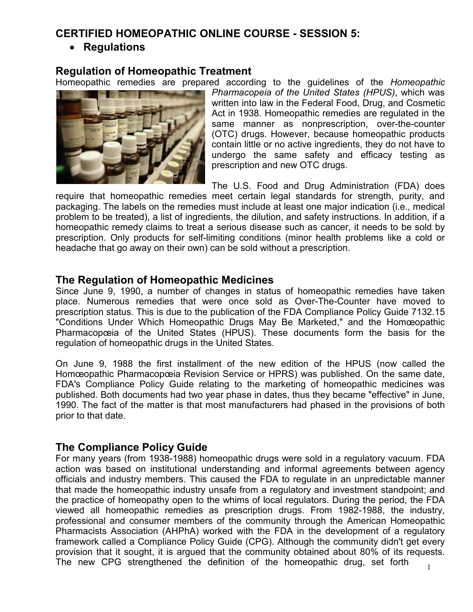# **CERTIFIED HOMEOPATHIC ONLINE COURSE - SESSION 5:**

### • **Regulations**

# **Regulation of Homeopathic Treatment**

Homeopathic remedies are prepared according to the guidelines of the *Homeopathic* 



*Pharmacopeia of the United States (HPUS)*, which was written into law in the Federal Food, Drug, and Cosmetic Act in 1938. Homeopathic remedies are regulated in the same manner as nonprescription, over-the-counter (OTC) drugs. However, because homeopathic products contain little or no active ingredients, they do not have to undergo the same safety and efficacy testing as prescription and new OTC drugs.

The U.S. Food and Drug Administration (FDA) does require that homeopathic remedies meet certain legal standards for strength, purity, and packaging. The labels on the remedies must include at least one major indication (i.e., medical problem to be treated), a list of ingredients, the dilution, and safety instructions. In addition, if a homeopathic remedy claims to treat a serious disease such as cancer, it needs to be sold by prescription. Only products for self-limiting conditions (minor health problems like a cold or headache that go away on their own) can be sold without a prescription.

#### **The Regulation of Homeopathic Medicines**

Since June 9, 1990, a number of changes in status of homeopathic remedies have taken place. Numerous remedies that were once sold as Over-The-Counter have moved to prescription status. This is due to the publication of the FDA Compliance Policy Guide 7132.15 "Conditions Under Which Homeopathic Drugs May Be Marketed," and the Homœopathic Pharmacopœia of the United States (HPUS). These documents form the basis for the regulation of homeopathic drugs in the United States.

On June 9, 1988 the first installment of the new edition of the HPUS (now called the Homœopathic Pharmacopœia Revision Service or HPRS) was published. On the same date, FDA's Compliance Policy Guide relating to the marketing of homeopathic medicines was published. Both documents had two year phase in dates, thus they became "effective" in June, 1990. The fact of the matter is that most manufacturers had phased in the provisions of both prior to that date.

### **The Compliance Policy Guide**

1 For many years (from 1938-1988) homeopathic drugs were sold in a regulatory vacuum. FDA action was based on institutional understanding and informal agreements between agency officials and industry members. This caused the FDA to regulate in an unpredictable manner that made the homeopathic industry unsafe from a regulatory and investment standpoint; and the practice of homeopathy open to the whims of local regulators. During the period, the FDA viewed all homeopathic remedies as prescription drugs. From 1982-1988, the industry, professional and consumer members of the community through the American Homeopathic Pharmacists Association (AHPhA) worked with the FDA in the development of a regulatory framework called a Compliance Policy Guide (CPG). Although the community didn't get every provision that it sought, it is argued that the community obtained about 80% of its requests. The new CPG strengthened the definition of the homeopathic drug, set forth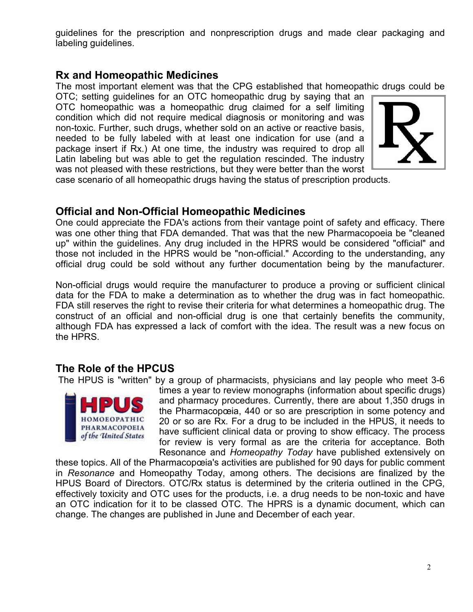guidelines for the prescription and nonprescription drugs and made clear packaging and labeling guidelines.

## **Rx and Homeopathic Medicines**

The most important element was that the CPG established that homeopathic drugs could be

OTC; setting guidelines for an OTC homeopathic drug by saying that an OTC homeopathic was a homeopathic drug claimed for a self limiting condition which did not require medical diagnosis or monitoring and was non-toxic. Further, such drugs, whether sold on an active or reactive basis, needed to be fully labeled with at least one indication for use (and a package insert if Rx.) At one time, the industry was required to drop all Latin labeling but was able to get the regulation rescinded. The industry was not pleased with these restrictions, but they were better than the worst



case scenario of all homeopathic drugs having the status of prescription products.

### **Official and Non-Official Homeopathic Medicines**

One could appreciate the FDA's actions from their vantage point of safety and efficacy. There was one other thing that FDA demanded. That was that the new Pharmacopoeia be "cleaned up" within the guidelines. Any drug included in the HPRS would be considered "official" and those not included in the HPRS would be "non-official." According to the understanding, any official drug could be sold without any further documentation being by the manufacturer.

Non-official drugs would require the manufacturer to produce a proving or sufficient clinical data for the FDA to make a determination as to whether the drug was in fact homeopathic. FDA still reserves the right to revise their criteria for what determines a homeopathic drug. The construct of an official and non-official drug is one that certainly benefits the community, although FDA has expressed a lack of comfort with the idea. The result was a new focus on the HPRS.

# **The Role of the HPCUS**

The HPUS is "written" by a group of pharmacists, physicians and lay people who meet 3-6



times a year to review monographs (information about specific drugs) and pharmacy procedures. Currently, there are about 1,350 drugs in the Pharmacopœia, 440 or so are prescription in some potency and 20 or so are Rx. For a drug to be included in the HPUS, it needs to have sufficient clinical data or proving to show efficacy. The process for review is very formal as are the criteria for acceptance. Both Resonance and *Homeopathy Today* have published extensively on

these topics. All of the Pharmacopœia's activities are published for 90 days for public comment in *Resonance* and Homeopathy Today, among others. The decisions are finalized by the HPUS Board of Directors. OTC/Rx status is determined by the criteria outlined in the CPG, effectively toxicity and OTC uses for the products, i.e. a drug needs to be non-toxic and have an OTC indication for it to be classed OTC. The HPRS is a dynamic document, which can change. The changes are published in June and December of each year.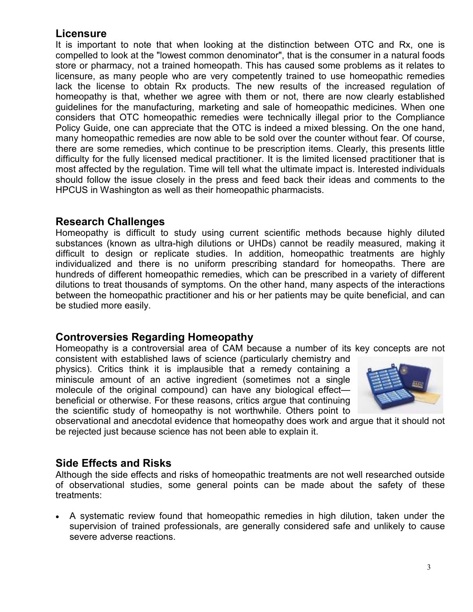### **Licensure**

It is important to note that when looking at the distinction between OTC and Rx, one is compelled to look at the "lowest common denominator", that is the consumer in a natural foods store or pharmacy, not a trained homeopath. This has caused some problems as it relates to licensure, as many people who are very competently trained to use homeopathic remedies lack the license to obtain Rx products. The new results of the increased regulation of homeopathy is that, whether we agree with them or not, there are now clearly established guidelines for the manufacturing, marketing and sale of homeopathic medicines. When one considers that OTC homeopathic remedies were technically illegal prior to the Compliance Policy Guide, one can appreciate that the OTC is indeed a mixed blessing. On the one hand, many homeopathic remedies are now able to be sold over the counter without fear. Of course, there are some remedies, which continue to be prescription items. Clearly, this presents little difficulty for the fully licensed medical practitioner. It is the limited licensed practitioner that is most affected by the regulation. Time will tell what the ultimate impact is. Interested individuals should follow the issue closely in the press and feed back their ideas and comments to the HPCUS in Washington as well as their homeopathic pharmacists.

### **Research Challenges**

Homeopathy is difficult to study using current scientific methods because highly diluted substances (known as ultra-high dilutions or UHDs) cannot be readily measured, making it difficult to design or replicate studies. In addition, homeopathic treatments are highly individualized and there is no uniform prescribing standard for homeopaths. There are hundreds of different homeopathic remedies, which can be prescribed in a variety of different dilutions to treat thousands of symptoms. On the other hand, many aspects of the interactions between the homeopathic practitioner and his or her patients may be quite beneficial, and can be studied more easily.

# **Controversies Regarding Homeopathy**

Homeopathy is a controversial area of CAM because a number of its key concepts are not

consistent with established laws of science (particularly chemistry and physics). Critics think it is implausible that a remedy containing a miniscule amount of an active ingredient (sometimes not a single molecule of the original compound) can have any biological effect beneficial or otherwise. For these reasons, critics argue that continuing the scientific study of homeopathy is not worthwhile. Others point to



observational and anecdotal evidence that homeopathy does work and argue that it should not be rejected just because science has not been able to explain it.

### **Side Effects and Risks**

Although the side effects and risks of homeopathic treatments are not well researched outside of observational studies, some general points can be made about the safety of these treatments:

• A systematic review found that homeopathic remedies in high dilution, taken under the supervision of trained professionals, are generally considered safe and unlikely to cause severe adverse reactions.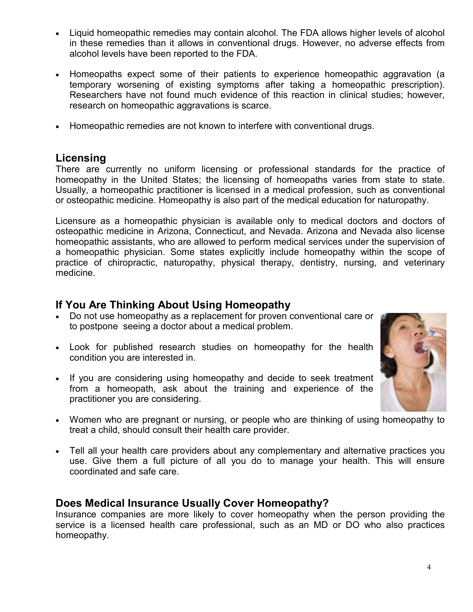- Liquid homeopathic remedies may contain alcohol. The FDA allows higher levels of alcohol in these remedies than it allows in conventional drugs. However, no adverse effects from alcohol levels have been reported to the FDA.
- Homeopaths expect some of their patients to experience homeopathic aggravation (a temporary worsening of existing symptoms after taking a homeopathic prescription). Researchers have not found much evidence of this reaction in clinical studies; however, research on homeopathic aggravations is scarce.
- Homeopathic remedies are not known to interfere with conventional drugs.

### **Licensing**

There are currently no uniform licensing or professional standards for the practice of homeopathy in the United States; the licensing of homeopaths varies from state to state. Usually, a homeopathic practitioner is licensed in a medical profession, such as conventional or osteopathic medicine. Homeopathy is also part of the medical education for naturopathy.

Licensure as a homeopathic physician is available only to medical doctors and doctors of osteopathic medicine in Arizona, Connecticut, and Nevada. Arizona and Nevada also license homeopathic assistants, who are allowed to perform medical services under the supervision of a homeopathic physician. Some states explicitly include homeopathy within the scope of practice of chiropractic, naturopathy, physical therapy, dentistry, nursing, and veterinary medicine.

### **If You Are Thinking About Using Homeopathy**

- Do not use homeopathy as a replacement for proven conventional care or to postpone seeing a doctor about a medical problem.
- Look for published research studies on homeopathy for the health condition you are interested in.
- If you are considering using homeopathy and decide to seek treatment from a homeopath, ask about the training and experience of the practitioner you are considering.



- Women who are pregnant or nursing, or people who are thinking of using homeopathy to treat a child, should consult their health care provider.
- Tell all your health care providers about any complementary and alternative practices you use. Give them a full picture of all you do to manage your health. This will ensure coordinated and safe care.

### **Does Medical Insurance Usually Cover Homeopathy?**

Insurance companies are more likely to cover homeopathy when the person providing the service is a licensed health care professional, such as an MD or DO who also practices homeopathy.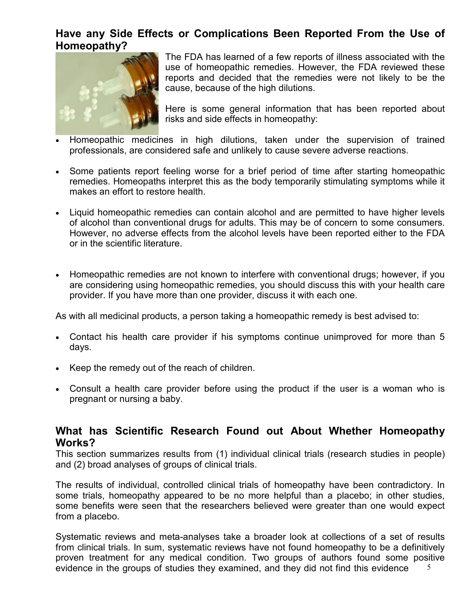### **Have any Side Effects or Complications Been Reported From the Use of Homeopathy?**



The FDA has learned of a few reports of illness associated with the use of homeopathic remedies. However, the FDA reviewed these reports and decided that the remedies were not likely to be the cause, because of the high dilutions.

Here is some general information that has been reported about risks and side effects in homeopathy:

- Homeopathic medicines in high dilutions, taken under the supervision of trained professionals, are considered safe and unlikely to cause severe adverse reactions.
- Some patients report feeling worse for a brief period of time after starting homeopathic remedies. Homeopaths interpret this as the body temporarily stimulating symptoms while it makes an effort to restore health.
- Liquid homeopathic remedies can contain alcohol and are permitted to have higher levels of alcohol than conventional drugs for adults. This may be of concern to some consumers. However, no adverse effects from the alcohol levels have been reported either to the FDA or in the scientific literature.
- Homeopathic remedies are not known to interfere with conventional drugs; however, if you are considering using homeopathic remedies, you should discuss this with your health care provider. If you have more than one provider, discuss it with each one.

As with all medicinal products, a person taking a homeopathic remedy is best advised to:

- Contact his health care provider if his symptoms continue unimproved for more than 5 days.
- Keep the remedy out of the reach of children.
- Consult a health care provider before using the product if the user is a woman who is pregnant or nursing a baby.

#### **What has Scientific Research Found out About Whether Homeopathy Works?**

This section summarizes results from (1) individual clinical trials (research studies in people) and (2) broad analyses of groups of clinical trials.

The results of individual, controlled clinical trials of homeopathy have been contradictory. In some trials, homeopathy appeared to be no more helpful than a placebo; in other studies, some benefits were seen that the researchers believed were greater than one would expect from a placebo.

5 Systematic reviews and meta-analyses take a broader look at collections of a set of results from clinical trials. In sum, systematic reviews have not found homeopathy to be a definitively proven treatment for any medical condition. Two groups of authors found some positive evidence in the groups of studies they examined, and they did not find this evidence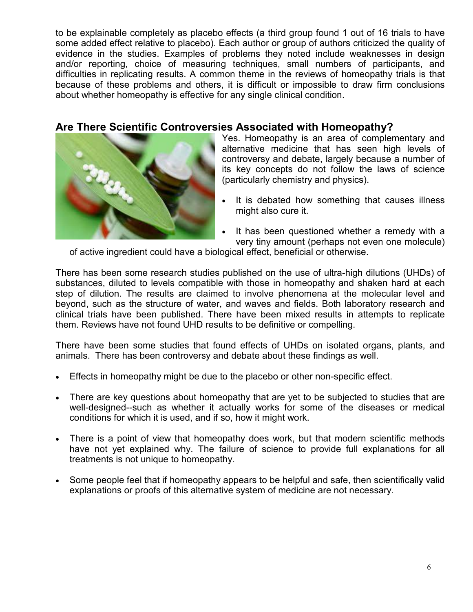to be explainable completely as placebo effects (a third group found 1 out of 16 trials to have some added effect relative to placebo). Each author or group of authors criticized the quality of evidence in the studies. Examples of problems they noted include weaknesses in design and/or reporting, choice of measuring techniques, small numbers of participants, and difficulties in replicating results. A common theme in the reviews of homeopathy trials is that because of these problems and others, it is difficult or impossible to draw firm conclusions about whether homeopathy is effective for any single clinical condition.

### **Are There Scientific Controversies Associated with Homeopathy?**



Yes. Homeopathy is an area of complementary and alternative medicine that has seen high levels of controversy and debate, largely because a number of its key concepts do not follow the laws of science (particularly chemistry and physics).

- It is debated how something that causes illness might also cure it.
- It has been questioned whether a remedy with a very tiny amount (perhaps not even one molecule)

of active ingredient could have a biological effect, beneficial or otherwise.

There has been some research studies published on the use of ultra-high dilutions (UHDs) of substances, diluted to levels compatible with those in homeopathy and shaken hard at each step of dilution. The results are claimed to involve phenomena at the molecular level and beyond, such as the structure of water, and waves and fields. Both laboratory research and clinical trials have been published. There have been mixed results in attempts to replicate them. Reviews have not found UHD results to be definitive or compelling.

There have been some studies that found effects of UHDs on isolated organs, plants, and animals. There has been controversy and debate about these findings as well.

- Effects in homeopathy might be due to the placebo or other non-specific effect.
- There are key questions about homeopathy that are yet to be subjected to studies that are well-designed--such as whether it actually works for some of the diseases or medical conditions for which it is used, and if so, how it might work.
- There is a point of view that homeopathy does work, but that modern scientific methods have not yet explained why. The failure of science to provide full explanations for all treatments is not unique to homeopathy.
- Some people feel that if homeopathy appears to be helpful and safe, then scientifically valid explanations or proofs of this alternative system of medicine are not necessary.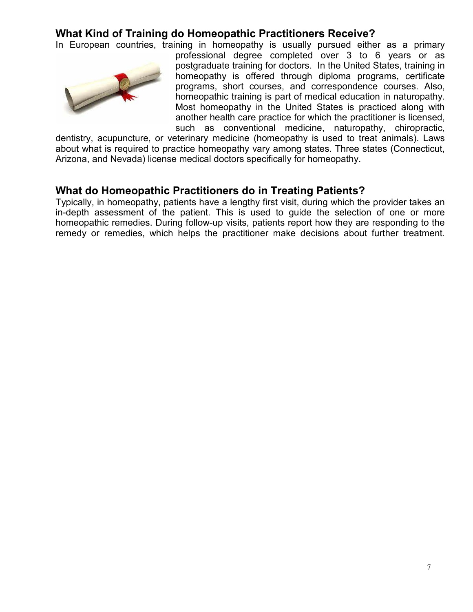# **What Kind of Training do Homeopathic Practitioners Receive?**

In European countries, training in homeopathy is usually pursued either as a primary



professional degree completed over 3 to 6 years or as postgraduate training for doctors. In the United States, training in homeopathy is offered through diploma programs, certificate programs, short courses, and correspondence courses. Also, homeopathic training is part of medical education in naturopathy. Most homeopathy in the United States is practiced along with another health care practice for which the practitioner is licensed, such as conventional medicine, naturopathy, chiropractic,

dentistry, acupuncture, or veterinary medicine (homeopathy is used to treat animals). Laws about what is required to practice homeopathy vary among states. Three states (Connecticut, Arizona, and Nevada) license medical doctors specifically for homeopathy.

#### **What do Homeopathic Practitioners do in Treating Patients?**

Typically, in homeopathy, patients have a lengthy first visit, during which the provider takes an in-depth assessment of the patient. This is used to guide the selection of one or more homeopathic remedies. During follow-up visits, patients report how they are responding to the remedy or remedies, which helps the practitioner make decisions about further treatment.